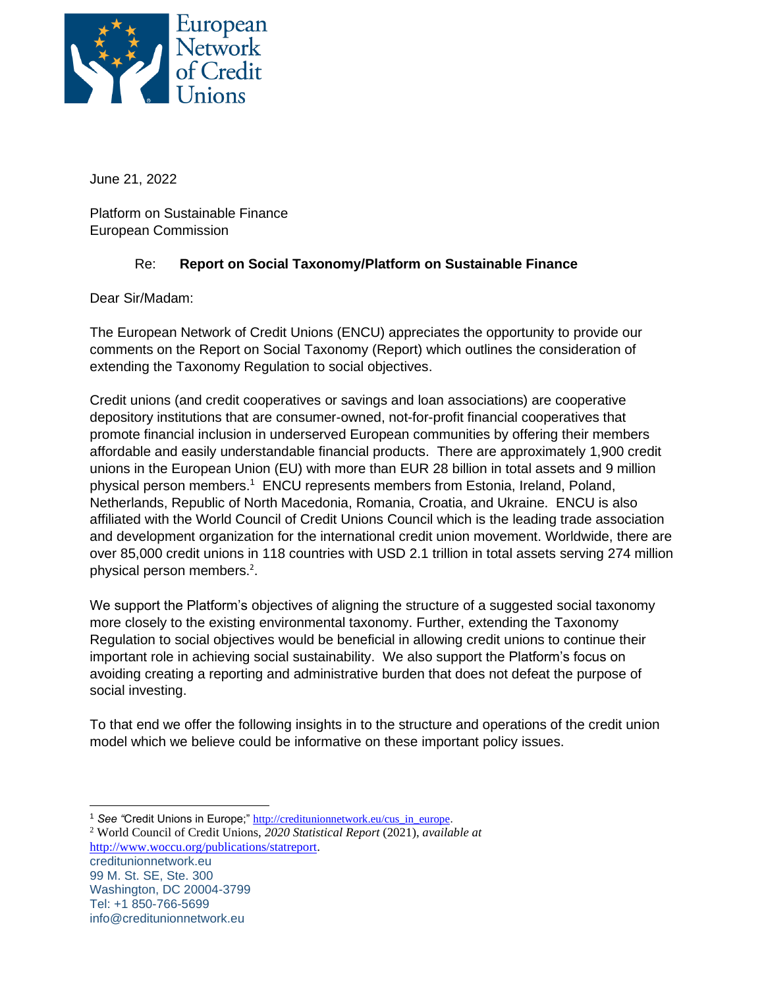

June 21, 2022

Platform on Sustainable Finance European Commission

## Re: **Report on Social Taxonomy/Platform on Sustainable Finance**

Dear Sir/Madam:

The European Network of Credit Unions (ENCU) appreciates the opportunity to provide our comments on the Report on Social Taxonomy (Report) which outlines the consideration of extending the Taxonomy Regulation to social objectives.

Credit unions (and credit cooperatives or savings and loan associations) are cooperative depository institutions that are consumer-owned, not-for-profit financial cooperatives that promote financial inclusion in underserved European communities by offering their members affordable and easily understandable financial products. There are approximately 1,900 credit unions in the European Union (EU) with more than EUR 28 billion in total assets and 9 million physical person members.<sup>1</sup> ENCU represents members from Estonia, Ireland, Poland, Netherlands, Republic of North Macedonia, Romania, Croatia, and Ukraine. ENCU is also affiliated with the World Council of Credit Unions Council which is the leading trade association and development organization for the international credit union movement. Worldwide, there are over 85,000 credit unions in 118 countries with USD 2.1 trillion in total assets serving 274 million physical person members. 2 .

We support the Platform's objectives of aligning the structure of a suggested social taxonomy more closely to the existing environmental taxonomy. Further, extending the Taxonomy Regulation to social objectives would be beneficial in allowing credit unions to continue their important role in achieving social sustainability. We also support the Platform's focus on avoiding creating a reporting and administrative burden that does not defeat the purpose of social investing.

To that end we offer the following insights in to the structure and operations of the credit union model which we believe could be informative on these important policy issues.

creditunionnetwork.eu 99 M. St. SE, Ste. 300 Washington, DC 20004-3799 Tel: +1 850-766-5699 info@creditunionnetwork.eu <sup>2</sup> World Council of Credit Unions, *2020 Statistical Report* (2021), *available at* [http://www.woccu.org/publications/statreport.](http://www.woccu.org/publications/statreport)

<sup>&</sup>lt;sup>1</sup> See "Credit Unions in Europe;" [http://creditunionnetwork.eu/cus\\_in\\_europe](http://creditunionnetwork.eu/cus_in_europe).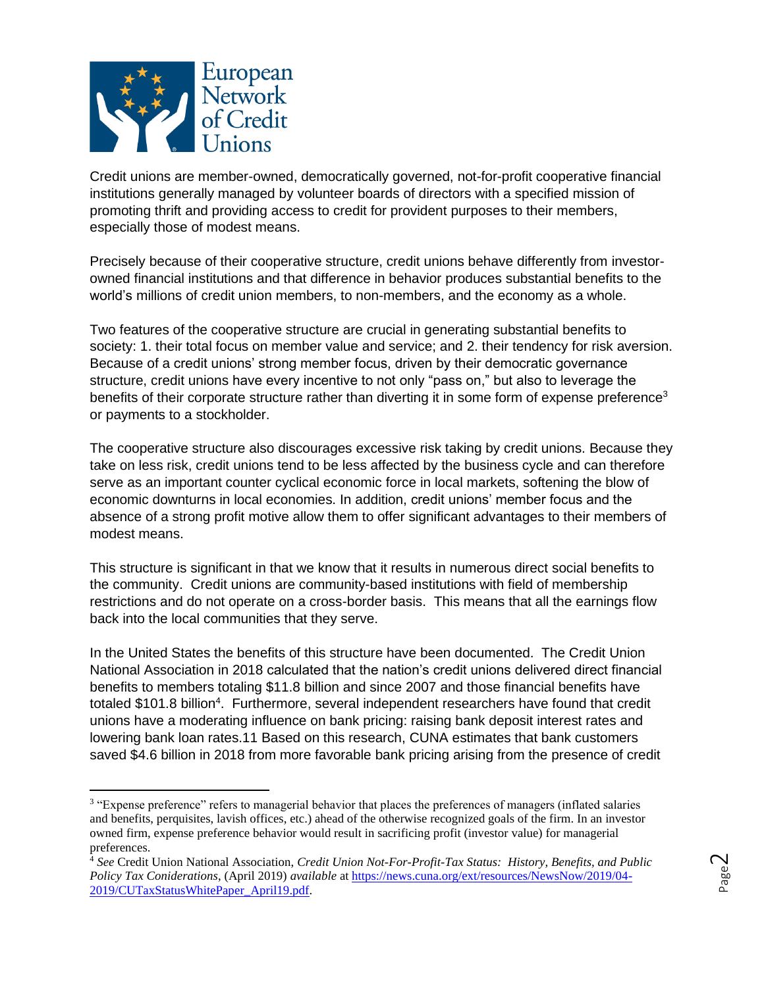

Credit unions are member-owned, democratically governed, not-for-profit cooperative financial institutions generally managed by volunteer boards of directors with a specified mission of promoting thrift and providing access to credit for provident purposes to their members, especially those of modest means.

Precisely because of their cooperative structure, credit unions behave differently from investorowned financial institutions and that difference in behavior produces substantial benefits to the world's millions of credit union members, to non-members, and the economy as a whole.

Two features of the cooperative structure are crucial in generating substantial benefits to society: 1. their total focus on member value and service; and 2. their tendency for risk aversion. Because of a credit unions' strong member focus, driven by their democratic governance structure, credit unions have every incentive to not only "pass on," but also to leverage the benefits of their corporate structure rather than diverting it in some form of expense preference<sup>3</sup> or payments to a stockholder.

The cooperative structure also discourages excessive risk taking by credit unions. Because they take on less risk, credit unions tend to be less affected by the business cycle and can therefore serve as an important counter cyclical economic force in local markets, softening the blow of economic downturns in local economies. In addition, credit unions' member focus and the absence of a strong profit motive allow them to offer significant advantages to their members of modest means.

This structure is significant in that we know that it results in numerous direct social benefits to the community. Credit unions are community-based institutions with field of membership restrictions and do not operate on a cross-border basis. This means that all the earnings flow back into the local communities that they serve.

In the United States the benefits of this structure have been documented. The Credit Union National Association in 2018 calculated that the nation's credit unions delivered direct financial benefits to members totaling \$11.8 billion and since 2007 and those financial benefits have totaled \$101.8 billion<sup>4</sup>. Furthermore, several independent researchers have found that credit unions have a moderating influence on bank pricing: raising bank deposit interest rates and lowering bank loan rates.11 Based on this research, CUNA estimates that bank customers saved \$4.6 billion in 2018 from more favorable bank pricing arising from the presence of credit

<sup>3</sup> "Expense preference" refers to managerial behavior that places the preferences of managers (inflated salaries and benefits, perquisites, lavish offices, etc.) ahead of the otherwise recognized goals of the firm. In an investor owned firm, expense preference behavior would result in sacrificing profit (investor value) for managerial preferences.

<sup>4</sup> *See* Credit Union National Association, *Credit Union Not-For-Profit-Tax Status: History, Benefits, and Public Policy Tax Coniderations*, (April 2019) *available* at [https://news.cuna.org/ext/resources/NewsNow/2019/04-](https://news.cuna.org/ext/resources/NewsNow/2019/04-2019/CUTaxStatusWhitePaper_April19.pdf) [2019/CUTaxStatusWhitePaper\\_April19.pdf.](https://news.cuna.org/ext/resources/NewsNow/2019/04-2019/CUTaxStatusWhitePaper_April19.pdf)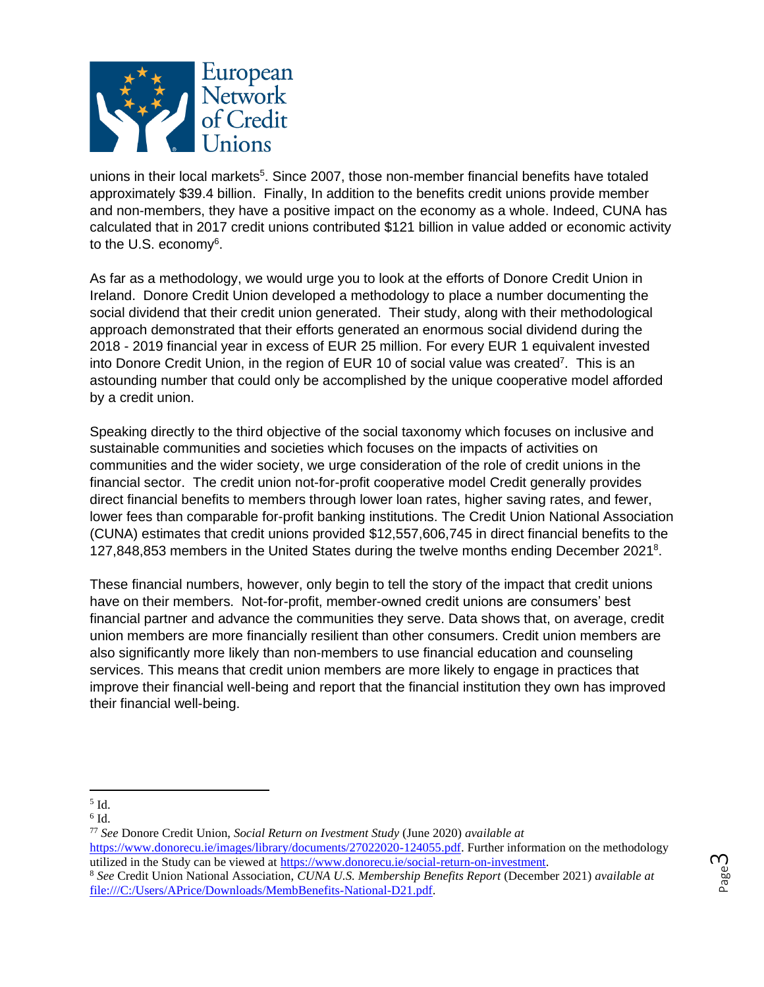

unions in their local markets<sup>5</sup>. Since 2007, those non-member financial benefits have totaled approximately \$39.4 billion. Finally, In addition to the benefits credit unions provide member and non-members, they have a positive impact on the economy as a whole. Indeed, CUNA has calculated that in 2017 credit unions contributed \$121 billion in value added or economic activity to the U.S. economy<sup>6</sup>.

As far as a methodology, we would urge you to look at the efforts of Donore Credit Union in Ireland. Donore Credit Union developed a methodology to place a number documenting the social dividend that their credit union generated. Their study, along with their methodological approach demonstrated that their efforts generated an enormous social dividend during the 2018 - 2019 financial year in excess of EUR 25 million. For every EUR 1 equivalent invested into Donore Credit Union, in the region of EUR 10 of social value was created<sup>7</sup>. This is an astounding number that could only be accomplished by the unique cooperative model afforded by a credit union.

Speaking directly to the third objective of the social taxonomy which focuses on inclusive and sustainable communities and societies which focuses on the impacts of activities on communities and the wider society, we urge consideration of the role of credit unions in the financial sector. The credit union not-for-profit cooperative model Credit generally provides direct financial benefits to members through lower loan rates, higher saving rates, and fewer, lower fees than comparable for-profit banking institutions. The Credit Union National Association (CUNA) estimates that credit unions provided \$12,557,606,745 in direct financial benefits to the 127,848,853 members in the United States during the twelve months ending December 2021<sup>8</sup>.

These financial numbers, however, only begin to tell the story of the impact that credit unions have on their members. Not-for-profit, member-owned credit unions are consumers' best financial partner and advance the communities they serve. Data shows that, on average, credit union members are more financially resilient than other consumers. Credit union members are also significantly more likely than non-members to use financial education and counseling services. This means that credit union members are more likely to engage in practices that improve their financial well-being and report that the financial institution they own has improved their financial well-being.

 $6$  Id.

 $<sup>5</sup>$  Id.</sup>

<sup>77</sup> *See* Donore Credit Union, *Social Return on Ivestment Study* (June 2020) *available at* [https://www.donorecu.ie/images/library/documents/27022020-124055.pdf.](https://www.donorecu.ie/images/library/documents/27022020-124055.pdf) Further information on the methodology utilized in the Study can be viewed a[t https://www.donorecu.ie/social-return-on-investment.](https://www.donorecu.ie/social-return-on-investment)

<sup>8</sup> *See* Credit Union National Association, *CUNA U.S. Membership Benefits Report* (December 2021) *available at*  [file:///C:/Users/APrice/Downloads/MembBenefits-National-D21.pdf.](file:///C:/Users/APrice/Downloads/MembBenefits-National-D21.pdf)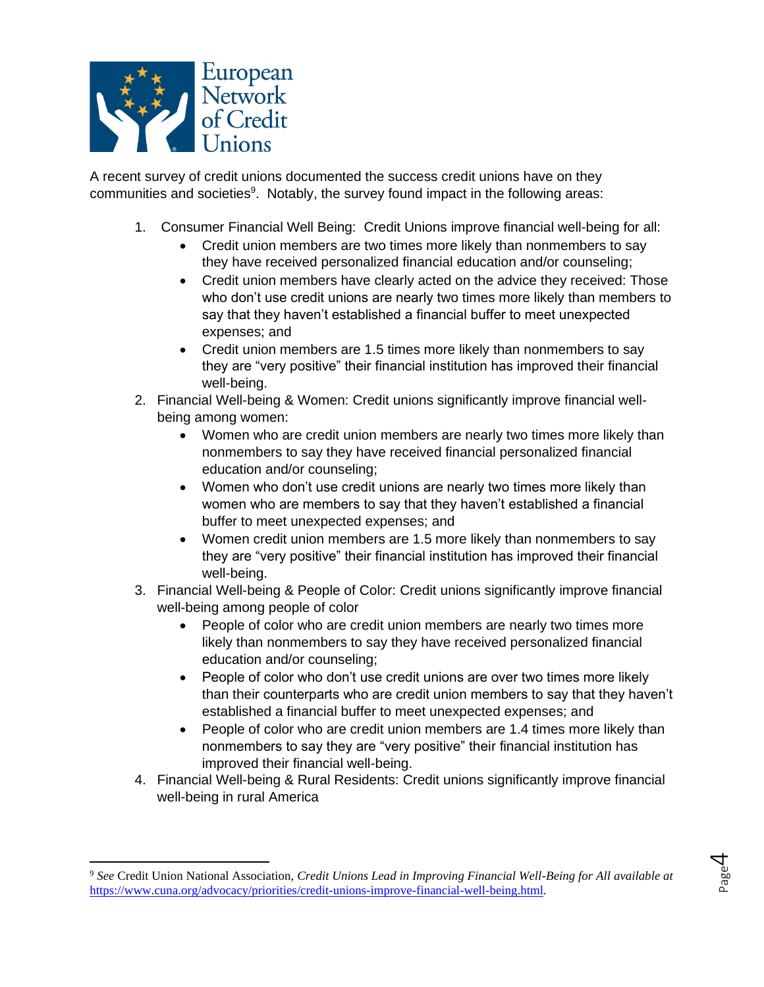

A recent survey of credit unions documented the success credit unions have on they communities and societies<sup>9</sup>. Notably, the survey found impact in the following areas:

- 1. Consumer Financial Well Being: Credit Unions improve financial well-being for all:
	- Credit union members are two times more likely than nonmembers to say they have received personalized financial education and/or counseling;
	- Credit union members have clearly acted on the advice they received: Those who don't use credit unions are nearly two times more likely than members to say that they haven't established a financial buffer to meet unexpected expenses; and
	- Credit union members are 1.5 times more likely than nonmembers to say they are "very positive" their financial institution has improved their financial well-being.
- 2. Financial Well-being & Women: Credit unions significantly improve financial wellbeing among women:
	- Women who are credit union members are nearly two times more likely than nonmembers to say they have received financial personalized financial education and/or counseling;
	- Women who don't use credit unions are nearly two times more likely than women who are members to say that they haven't established a financial buffer to meet unexpected expenses; and
	- Women credit union members are 1.5 more likely than nonmembers to say they are "very positive" their financial institution has improved their financial well-being.
- 3. Financial Well-being & People of Color: Credit unions significantly improve financial well-being among people of color
	- People of color who are credit union members are nearly two times more likely than nonmembers to say they have received personalized financial education and/or counseling;
	- People of color who don't use credit unions are over two times more likely than their counterparts who are credit union members to say that they haven't established a financial buffer to meet unexpected expenses; and
	- People of color who are credit union members are 1.4 times more likely than nonmembers to say they are "very positive" their financial institution has improved their financial well-being.
- 4. Financial Well-being & Rural Residents: Credit unions significantly improve financial well-being in rural America

<sup>9</sup> *See* Credit Union National Association, *Credit Unions Lead in Improving Financial Well-Being for All available at* <https://www.cuna.org/advocacy/priorities/credit-unions-improve-financial-well-being.html>*.* 

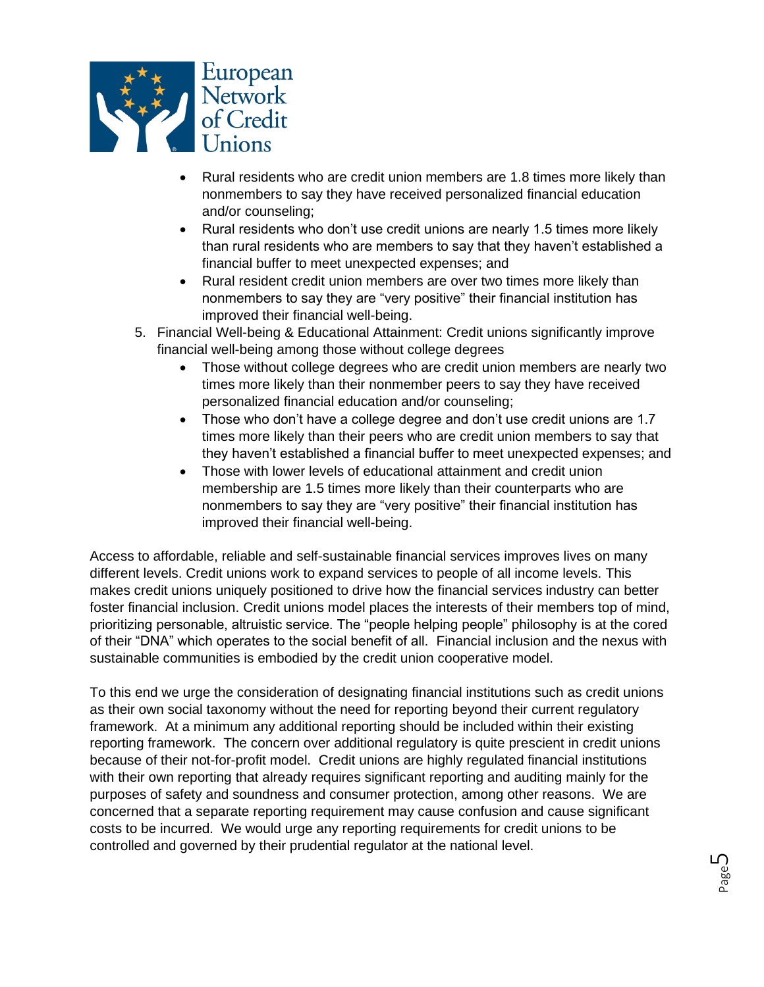

- Rural residents who are credit union members are 1.8 times more likely than nonmembers to say they have received personalized financial education and/or counseling;
- Rural residents who don't use credit unions are nearly 1.5 times more likely than rural residents who are members to say that they haven't established a financial buffer to meet unexpected expenses; and
- Rural resident credit union members are over two times more likely than nonmembers to say they are "very positive" their financial institution has improved their financial well-being.
- 5. Financial Well-being & Educational Attainment: Credit unions significantly improve financial well-being among those without college degrees
	- Those without college degrees who are credit union members are nearly two times more likely than their nonmember peers to say they have received personalized financial education and/or counseling;
	- Those who don't have a college degree and don't use credit unions are 1.7 times more likely than their peers who are credit union members to say that they haven't established a financial buffer to meet unexpected expenses; and
	- Those with lower levels of educational attainment and credit union membership are 1.5 times more likely than their counterparts who are nonmembers to say they are "very positive" their financial institution has improved their financial well-being.

Access to affordable, reliable and self-sustainable financial services improves lives on many different levels. Credit unions work to expand services to people of all income levels. This makes credit unions uniquely positioned to drive how the financial services industry can better foster financial inclusion. Credit unions model places the interests of their members top of mind, prioritizing personable, altruistic service. The "people helping people" philosophy is at the cored of their "DNA" which operates to the social benefit of all. Financial inclusion and the nexus with sustainable communities is embodied by the credit union cooperative model.

To this end we urge the consideration of designating financial institutions such as credit unions as their own social taxonomy without the need for reporting beyond their current regulatory framework. At a minimum any additional reporting should be included within their existing reporting framework. The concern over additional regulatory is quite prescient in credit unions because of their not-for-profit model. Credit unions are highly regulated financial institutions with their own reporting that already requires significant reporting and auditing mainly for the purposes of safety and soundness and consumer protection, among other reasons. We are concerned that a separate reporting requirement may cause confusion and cause significant costs to be incurred. We would urge any reporting requirements for credit unions to be controlled and governed by their prudential regulator at the national level.